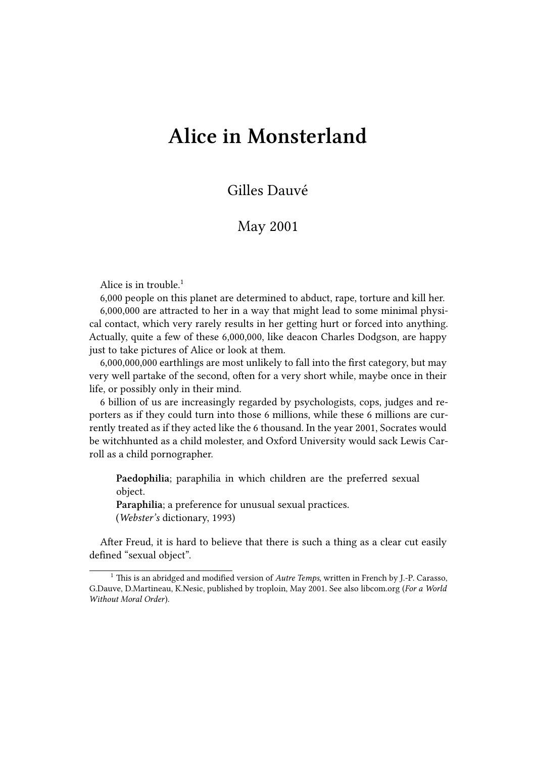## **Alice in Monsterland**

Gilles Dauvé

## May 2001

Alice is in trouble. $<sup>1</sup>$ </sup>

6,000 people on this planet are determined to abduct, rape, torture and kill her. 6,000,000 are attracted to her in a way that might lead to some minimal physical contact, which very rarely results in her getting hurt or forced into anything. Actually, quite a few of these 6,000,000, like deacon Charles Dodgson, are happy just to take pictures of Alice or look at them.

6,000,000,000 earthlings are most unlikely to fall into the first category, but may very well partake of the second, often for a very short while, maybe once in their life, or possibly only in their mind.

6 billion of us are increasingly regarded by psychologists, cops, judges and reporters as if they could turn into those 6 millions, while these 6 millions are currently treated as if they acted like the 6 thousand. In the year 2001, Socrates would be witchhunted as a child molester, and Oxford University would sack Lewis Carroll as a child pornographer.

**Paedophilia**; paraphilia in which children are the preferred sexual object.

Paraphilia; a preference for unusual sexual practices. (*Webster's* dictionary, 1993)

After Freud, it is hard to believe that there is such a thing as a clear cut easily defined "sexual object".

<sup>1</sup> This is an abridged and modified version of *Autre Temps*, written in French by J.-P. Carasso, G.Dauve, D.Martineau, K.Nesic, published by troploin, May 2001. See also libcom.org (*For a World Without Moral Order*).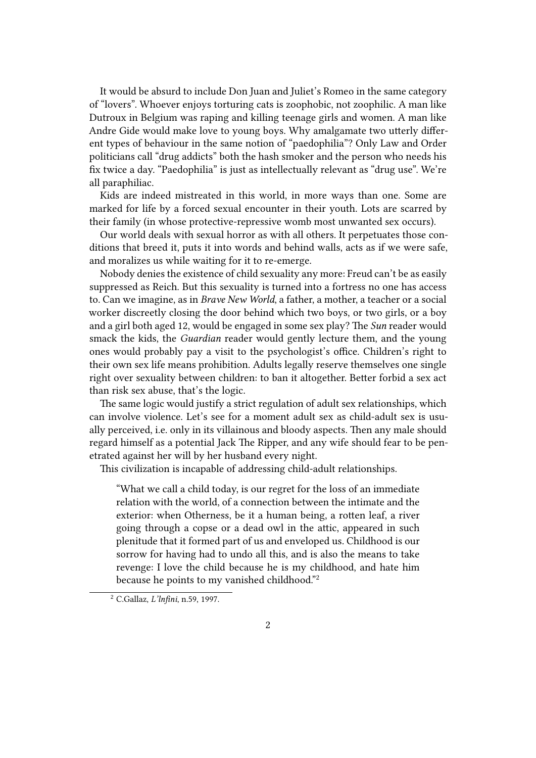It would be absurd to include Don Juan and Juliet's Romeo in the same category of "lovers". Whoever enjoys torturing cats is zoophobic, not zoophilic. A man like Dutroux in Belgium was raping and killing teenage girls and women. A man like Andre Gide would make love to young boys. Why amalgamate two utterly different types of behaviour in the same notion of "paedophilia"? Only Law and Order politicians call "drug addicts" both the hash smoker and the person who needs his fix twice a day. "Paedophilia" is just as intellectually relevant as "drug use". We're all paraphiliac.

Kids are indeed mistreated in this world, in more ways than one. Some are marked for life by a forced sexual encounter in their youth. Lots are scarred by their family (in whose protective-repressive womb most unwanted sex occurs).

Our world deals with sexual horror as with all others. It perpetuates those conditions that breed it, puts it into words and behind walls, acts as if we were safe, and moralizes us while waiting for it to re-emerge.

Nobody denies the existence of child sexuality any more: Freud can't be as easily suppressed as Reich. But this sexuality is turned into a fortress no one has access to. Can we imagine, as in *Brave New World*, a father, a mother, a teacher or a social worker discreetly closing the door behind which two boys, or two girls, or a boy and a girl both aged 12, would be engaged in some sex play? The *Sun* reader would smack the kids, the *Guardian* reader would gently lecture them, and the young ones would probably pay a visit to the psychologist's office. Children's right to their own sex life means prohibition. Adults legally reserve themselves one single right over sexuality between children: to ban it altogether. Better forbid a sex act than risk sex abuse, that's the logic.

The same logic would justify a strict regulation of adult sex relationships, which can involve violence. Let's see for a moment adult sex as child-adult sex is usually perceived, i.e. only in its villainous and bloody aspects. Then any male should regard himself as a potential Jack The Ripper, and any wife should fear to be penetrated against her will by her husband every night.

This civilization is incapable of addressing child-adult relationships.

"What we call a child today, is our regret for the loss of an immediate relation with the world, of a connection between the intimate and the exterior: when Otherness, be it a human being, a rotten leaf, a river going through a copse or a dead owl in the attic, appeared in such plenitude that it formed part of us and enveloped us. Childhood is our sorrow for having had to undo all this, and is also the means to take revenge: I love the child because he is my childhood, and hate him because he points to my vanished childhood."<sup>2</sup>

<sup>2</sup> C.Gallaz, *L'lnfini*, n.59, 1997.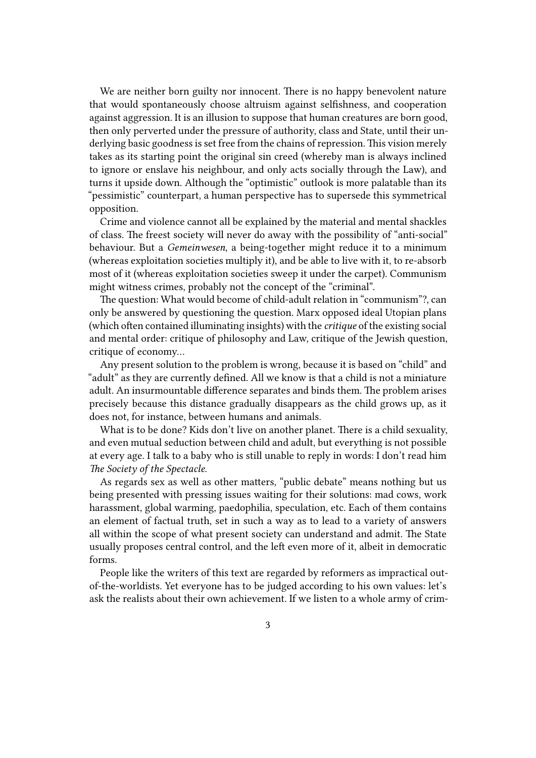We are neither born guilty nor innocent. There is no happy benevolent nature that would spontaneously choose altruism against selfishness, and cooperation against aggression. It is an illusion to suppose that human creatures are born good, then only perverted under the pressure of authority, class and State, until their underlying basic goodness is set free from the chains of repression. This vision merely takes as its starting point the original sin creed (whereby man is always inclined to ignore or enslave his neighbour, and only acts socially through the Law), and turns it upside down. Although the "optimistic" outlook is more palatable than its "pessimistic" counterpart, a human perspective has to supersede this symmetrical opposition.

Crime and violence cannot all be explained by the material and mental shackles of class. The freest society will never do away with the possibility of "anti-social" behaviour. But a *Gemeinwesen*, a being-together might reduce it to a minimum (whereas exploitation societies multiply it), and be able to live with it, to re-absorb most of it (whereas exploitation societies sweep it under the carpet). Communism might witness crimes, probably not the concept of the "criminal".

The question: What would become of child-adult relation in "communism"?, can only be answered by questioning the question. Marx opposed ideal Utopian plans (which often contained illuminating insights) with the *critique* of the existing social and mental order: critique of philosophy and Law, critique of the Jewish question, critique of economy…

Any present solution to the problem is wrong, because it is based on "child" and "adult" as they are currently defined. All we know is that a child is not a miniature adult. An insurmountable difference separates and binds them. The problem arises precisely because this distance gradually disappears as the child grows up, as it does not, for instance, between humans and animals.

What is to be done? Kids don't live on another planet. There is a child sexuality, and even mutual seduction between child and adult, but everything is not possible at every age. I talk to a baby who is still unable to reply in words: I don't read him *The Society of the Spectacle*.

As regards sex as well as other matters, "public debate" means nothing but us being presented with pressing issues waiting for their solutions: mad cows, work harassment, global warming, paedophilia, speculation, etc. Each of them contains an element of factual truth, set in such a way as to lead to a variety of answers all within the scope of what present society can understand and admit. The State usually proposes central control, and the left even more of it, albeit in democratic forms.

People like the writers of this text are regarded by reformers as impractical outof-the-worldists. Yet everyone has to be judged according to his own values: let's ask the realists about their own achievement. If we listen to a whole army of crim-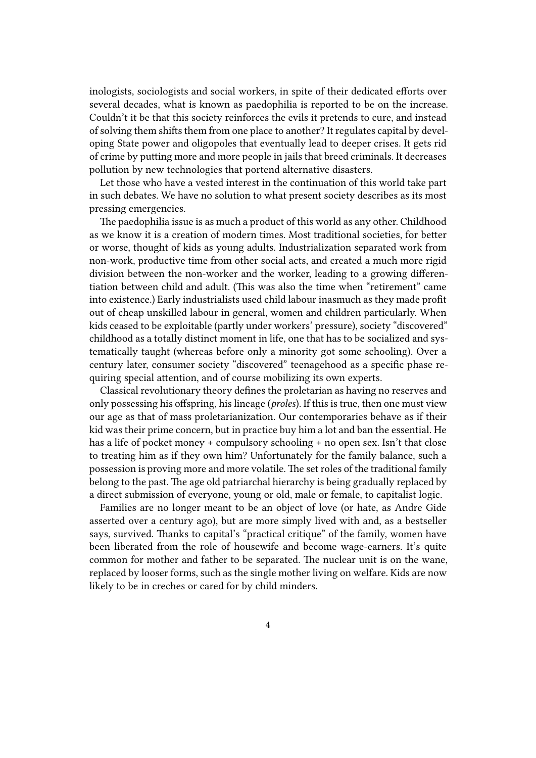inologists, sociologists and social workers, in spite of their dedicated efforts over several decades, what is known as paedophilia is reported to be on the increase. Couldn't it be that this society reinforces the evils it pretends to cure, and instead of solving them shifts them from one place to another? It regulates capital by developing State power and oligopoles that eventually lead to deeper crises. It gets rid of crime by putting more and more people in jails that breed criminals. It decreases pollution by new technologies that portend alternative disasters.

Let those who have a vested interest in the continuation of this world take part in such debates. We have no solution to what present society describes as its most pressing emergencies.

The paedophilia issue is as much a product of this world as any other. Childhood as we know it is a creation of modern times. Most traditional societies, for better or worse, thought of kids as young adults. Industrialization separated work from non-work, productive time from other social acts, and created a much more rigid division between the non-worker and the worker, leading to a growing differentiation between child and adult. (This was also the time when "retirement" came into existence.) Early industrialists used child labour inasmuch as they made profit out of cheap unskilled labour in general, women and children particularly. When kids ceased to be exploitable (partly under workers' pressure), society "discovered" childhood as a totally distinct moment in life, one that has to be socialized and systematically taught (whereas before only a minority got some schooling). Over a century later, consumer society "discovered" teenagehood as a specific phase requiring special attention, and of course mobilizing its own experts.

Classical revolutionary theory defines the proletarian as having no reserves and only possessing his offspring, his lineage (*proles*). If this is true, then one must view our age as that of mass proletarianization. Our contemporaries behave as if their kid was their prime concern, but in practice buy him a lot and ban the essential. He has a life of pocket money + compulsory schooling + no open sex. Isn't that close to treating him as if they own him? Unfortunately for the family balance, such a possession is proving more and more volatile. The set roles of the traditional family belong to the past. The age old patriarchal hierarchy is being gradually replaced by a direct submission of everyone, young or old, male or female, to capitalist logic.

Families are no longer meant to be an object of love (or hate, as Andre Gide asserted over a century ago), but are more simply lived with and, as a bestseller says, survived. Thanks to capital's "practical critique" of the family, women have been liberated from the role of housewife and become wage-earners. It's quite common for mother and father to be separated. The nuclear unit is on the wane, replaced by looser forms, such as the single mother living on welfare. Kids are now likely to be in creches or cared for by child minders.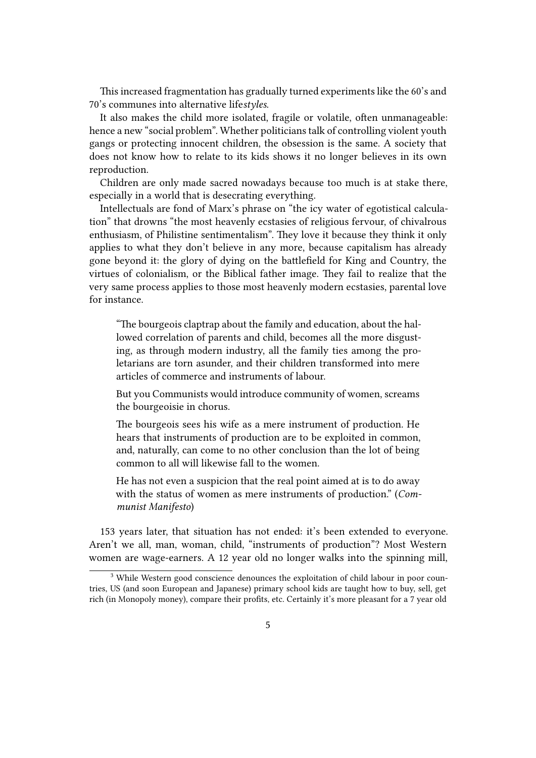This increased fragmentation has gradually turned experiments like the 60's and 70's communes into alternative life*styles*.

It also makes the child more isolated, fragile or volatile, often unmanageable: hence a new "social problem". Whether politicians talk of controlling violent youth gangs or protecting innocent children, the obsession is the same. A society that does not know how to relate to its kids shows it no longer believes in its own reproduction.

Children are only made sacred nowadays because too much is at stake there, especially in a world that is desecrating everything.

Intellectuals are fond of Marx's phrase on "the icy water of egotistical calculation" that drowns "the most heavenly ecstasies of religious fervour, of chivalrous enthusiasm, of Philistine sentimentalism". They love it because they think it only applies to what they don't believe in any more, because capitalism has already gone beyond it: the glory of dying on the battlefield for King and Country, the virtues of colonialism, or the Biblical father image. They fail to realize that the very same process applies to those most heavenly modern ecstasies, parental love for instance.

"The bourgeois claptrap about the family and education, about the hallowed correlation of parents and child, becomes all the more disgusting, as through modern industry, all the family ties among the proletarians are torn asunder, and their children transformed into mere articles of commerce and instruments of labour.

But you Communists would introduce community of women, screams the bourgeoisie in chorus.

The bourgeois sees his wife as a mere instrument of production. He hears that instruments of production are to be exploited in common, and, naturally, can come to no other conclusion than the lot of being common to all will likewise fall to the women.

He has not even a suspicion that the real point aimed at is to do away with the status of women as mere instruments of production." (*Communist Manifesto*)

153 years later, that situation has not ended: it's been extended to everyone. Aren't we all, man, woman, child, "instruments of production"? Most Western women are wage-earners. A 12 year old no longer walks into the spinning mill,

<sup>&</sup>lt;sup>3</sup> While Western good conscience denounces the exploitation of child labour in poor countries, US (and soon European and Japanese) primary school kids are taught how to buy, sell, get rich (in Monopoly money), compare their profits, etc. Certainly it's more pleasant for a 7 year old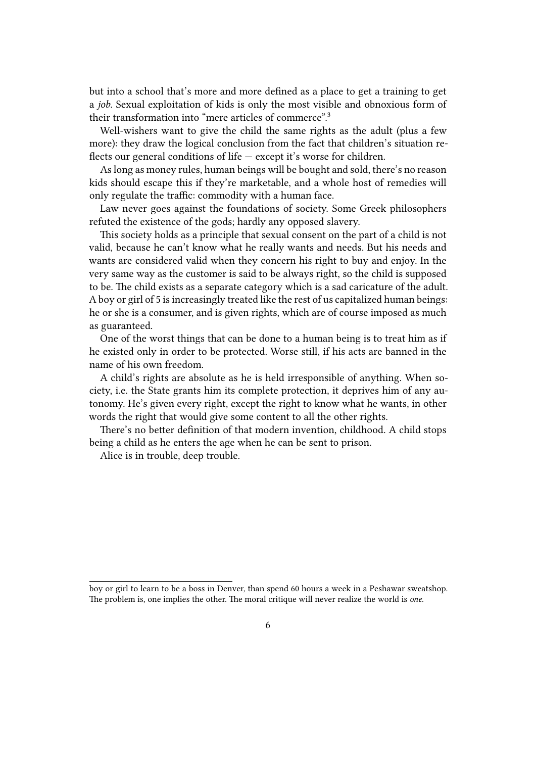but into a school that's more and more defined as a place to get a training to get a *job*. Sexual exploitation of kids is only the most visible and obnoxious form of their transformation into "mere articles of commerce".<sup>3</sup>

Well-wishers want to give the child the same rights as the adult (plus a few more): they draw the logical conclusion from the fact that children's situation reflects our general conditions of life — except it's worse for children.

As long as money rules, human beings will be bought and sold, there's no reason kids should escape this if they're marketable, and a whole host of remedies will only regulate the traffic: commodity with a human face.

Law never goes against the foundations of society. Some Greek philosophers refuted the existence of the gods; hardly any opposed slavery.

This society holds as a principle that sexual consent on the part of a child is not valid, because he can't know what he really wants and needs. But his needs and wants are considered valid when they concern his right to buy and enjoy. In the very same way as the customer is said to be always right, so the child is supposed to be. The child exists as a separate category which is a sad caricature of the adult. A boy or girl of 5 is increasingly treated like the rest of us capitalized human beings: he or she is a consumer, and is given rights, which are of course imposed as much as guaranteed.

One of the worst things that can be done to a human being is to treat him as if he existed only in order to be protected. Worse still, if his acts are banned in the name of his own freedom.

A child's rights are absolute as he is held irresponsible of anything. When society, i.e. the State grants him its complete protection, it deprives him of any autonomy. He's given every right, except the right to know what he wants, in other words the right that would give some content to all the other rights.

There's no better definition of that modern invention, childhood. A child stops being a child as he enters the age when he can be sent to prison.

Alice is in trouble, deep trouble.

boy or girl to learn to be a boss in Denver, than spend 60 hours a week in a Peshawar sweatshop. The problem is, one implies the other. The moral critique will never realize the world is *one*.